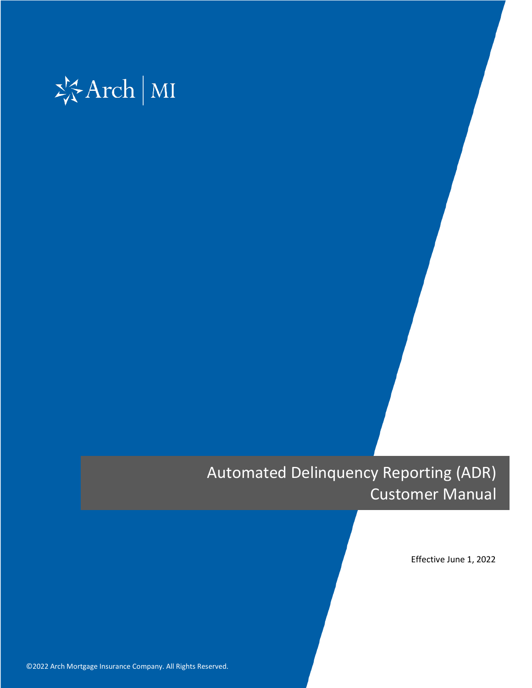

# Automated Delinquency Reporting (ADR) Customer Manual

Effective June 1, 2022

©2022 Arch Mortgage Insurance Company. All Rights Reserved. **0** ©2022 Arch Mortgage Insurance Company. All Rights Reserved.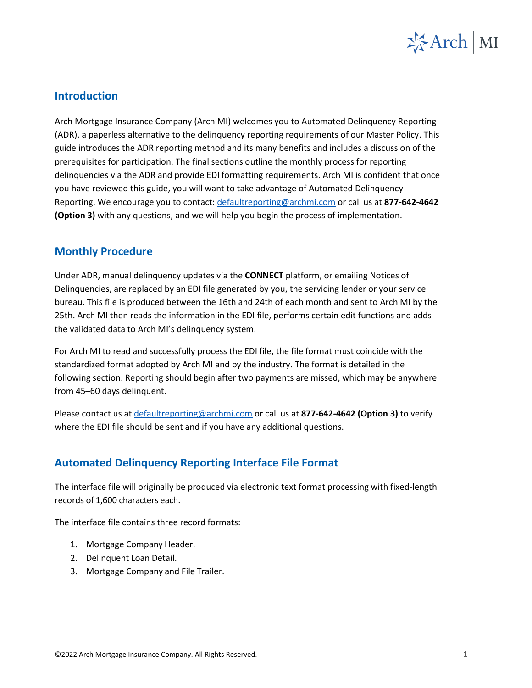

## **Introduction**

Arch Mortgage Insurance Company (Arch MI) welcomes you to Automated Delinquency Reporting (ADR), a paperless alternative to the delinquency reporting requirements of our Master Policy. This guide introduces the ADR reporting method and its many benefits and includes a discussion of the prerequisites for participation. The final sections outline the monthly process for reporting delinquencies via the ADR and provide EDI formatting requirements. Arch MI is confident that once you have reviewed this guide, you will want to take advantage of Automated Delinquency Reporting. We encourage you to contact: [defaultreporting@archmi.com](mailto:defaultreporting@archmi.com) or call us at **877-642-4642 (Option 3)** with any questions, and we will help you begin the process of implementation.

# **Monthly Procedure**

Under ADR, manual delinquency updates via the **CONNECT** platform, or emailing Notices of Delinquencies, are replaced by an EDI file generated by you, the servicing lender or your service bureau. This file is produced between the 16th and 24th of each month and sent to Arch MI by the 25th. Arch MI then reads the information in the EDI file, performs certain edit functions and adds the validated data to Arch MI's delinquency system.

For Arch MI to read and successfully process the EDI file, the file format must coincide with the standardized format adopted by Arch MI and by the industry. The format is detailed in the following section. Reporting should begin after two payments are missed, which may be anywhere from 45–60 days delinquent.

Please contact us at [defaultreporting@archmi.com](mailto:defaultreporting@archmi.com) or call us at **877-642-4642 (Option 3)** to verify where the EDI file should be sent and if you have any additional questions.

# **Automated Delinquency Reporting Interface File Format**

The interface file will originally be produced via electronic text format processing with fixed-length records of 1,600 characters each.

The interface file contains three record formats:

- 1. Mortgage Company Header.
- 2. Delinquent Loan Detail.
- 3. Mortgage Company and File Trailer.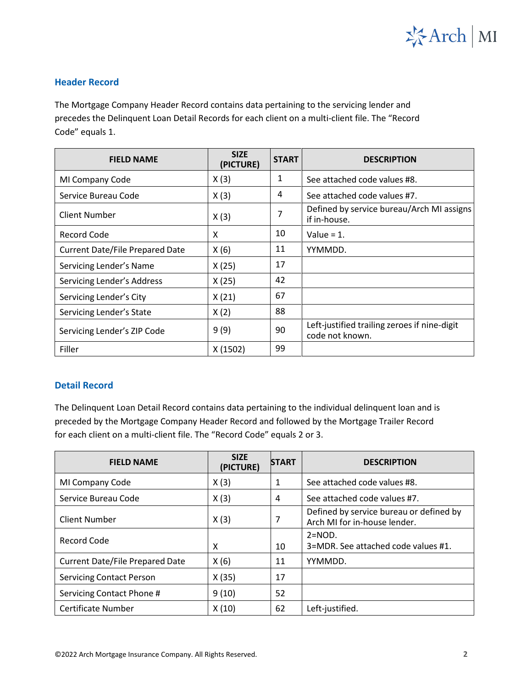

#### **Header Record**

The Mortgage Company Header Record contains data pertaining to the servicing lender and precedes the Delinquent Loan Detail Records for each client on a multi-client file. The "Record Code" equals 1.

| <b>FIELD NAME</b>                      | <b>SIZE</b><br>(PICTURE) | <b>START</b> | <b>DESCRIPTION</b>                                              |
|----------------------------------------|--------------------------|--------------|-----------------------------------------------------------------|
| MI Company Code                        | X(3)                     | 1            | See attached code values #8.                                    |
| Service Bureau Code                    | X(3)                     | 4            | See attached code values #7.                                    |
| <b>Client Number</b>                   | X(3)                     | 7            | Defined by service bureau/Arch MI assigns<br>if in-house.       |
| <b>Record Code</b>                     | X                        | 10           | Value = $1$ .                                                   |
| <b>Current Date/File Prepared Date</b> | X(6)                     | 11           | YYMMDD.                                                         |
| Servicing Lender's Name                | X(25)                    | 17           |                                                                 |
| Servicing Lender's Address             | X(25)                    | 42           |                                                                 |
| Servicing Lender's City                | X(21)                    | 67           |                                                                 |
| Servicing Lender's State               | X(2)                     | 88           |                                                                 |
| Servicing Lender's ZIP Code            | 9(9)                     | 90           | Left-justified trailing zeroes if nine-digit<br>code not known. |
| Filler                                 | X(1502)                  | 99           |                                                                 |

#### **Detail Record**

The Delinquent Loan Detail Record contains data pertaining to the individual delinquent loan and is preceded by the Mortgage Company Header Record and followed by the Mortgage Trailer Record for each client on a multi-client file. The "Record Code" equals 2 or 3.

| <b>FIELD NAME</b>                      | <b>SIZE</b><br>(PICTURE) | <b>START</b> | <b>DESCRIPTION</b>                                                      |
|----------------------------------------|--------------------------|--------------|-------------------------------------------------------------------------|
| MI Company Code                        | X(3)                     | 1            | See attached code values #8.                                            |
| Service Bureau Code                    | X(3)                     | 4            | See attached code values #7.                                            |
| <b>Client Number</b>                   | X(3)                     | 7            | Defined by service bureau or defined by<br>Arch MI for in-house lender. |
| Record Code                            | X                        | 10           | $2 = NOD.$<br>3=MDR. See attached code values #1.                       |
| <b>Current Date/File Prepared Date</b> | X(6)                     | 11           | YYMMDD.                                                                 |
| <b>Servicing Contact Person</b>        | X(35)                    | 17           |                                                                         |
| Servicing Contact Phone #              | 9(10)                    | 52           |                                                                         |
| Certificate Number                     | X(10)                    | 62           | Left-justified.                                                         |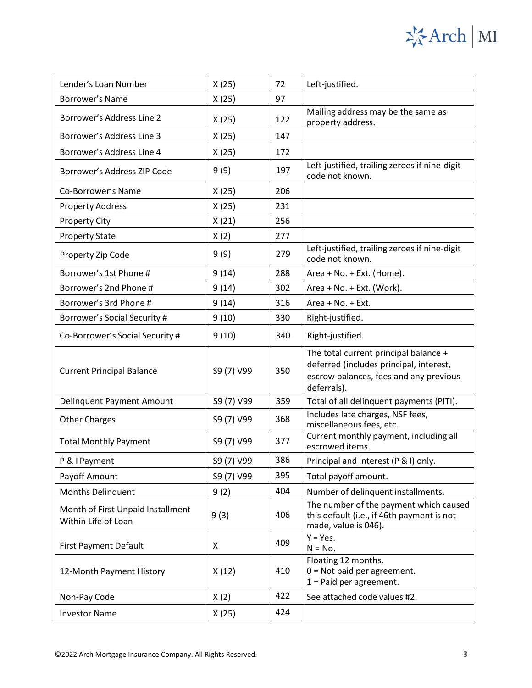### Lender's Loan Number  $X(25)$  72 Left-justified. Borrower's Name  $X(25)$  97 Borrower's Address Line 2  $\begin{vmatrix} x(25) \end{vmatrix}$   $\begin{vmatrix} 122 \end{vmatrix}$  Mailing address may be the same as property address. Borrower's Address Line 3  $\vert$  X (25) 147 Borrower's Address Line 4  $\vert$  X (25) 172 Borrower's Address ZIP Code  $9(9)$  197 Left-justified, trailing zeroes if nine-digit code not known.  $Co-Borrower's Name$   $X(25)$  206 Property Address  $X(25)$  231 Property City  $X(21)$  256 Property State  $\vert$  X (2)  $\vert$  277 Property Zip Code 9 (9) 9 (9) 279 Left-justified, trailing zeroes if nine-digit code not known. Borrower's 1st Phone #  $\vert$  9 (14)  $\vert$  288 Area + No. + Ext. (Home). Borrower's 2nd Phone #  $9(14)$   $302$  Area + No. + Ext. (Work). Borrower's 3rd Phone #  $9(14)$  316 Area + No. + Ext. Borrower's Social Security #  $9(10)$  | 330 | Right-justified. Co-Borrower's Social Security  $\sharp$  | 9 (10) | 340 | Right-justified. Current Principal Balance | S9 (7) V99 | 350 The total current principal balance + deferred (includes principal, interest, escrow balances, fees and any previous deferrals). Delinquent Payment Amount | S9 (7) V99 | 359 | Total of all delinquent payments (PITI). Other Charges September 2011 S9 (7) V99 368 Includes late charges, NSF fees, miscellaneous fees, etc. Total Monthly Payment S9 (7) V99 377 Current monthly payment, including all escrowed items.  $\begin{array}{c|c|c|c|c} P & 8 & Payment \end{array}$   $\begin{array}{c|c|c|c} S9 & 7 & V99 \end{array}$  386 Principal and Interest (P & I) only. Payoff Amount S9 (7) V99 395 Total payoff amount. Months Delinquent 9 (2)  $\vert$  404 Number of delinquent installments. Month of First Unpaid Installment Within Life of Loan and Installment 9 (3) 406 The number of the payment which caused this default (i.e., if 46th payment is not made, value is 046). First Payment Default X 409 <sup>Y</sup> <sup>=</sup> Yes.  $N = No.$ 12-Month Payment History  $X(12)$  410 Floating 12 months. 0 = Not paid per agreement. 1 = Paid per agreement. Non-Pay Code  $\begin{array}{|c|c|c|c|c|c|}\n\hline\nX(2) & 422 & \text{See attached code values #2.}\n\end{array}$ Investor Name  $X(25)$  424

岑Arch | MI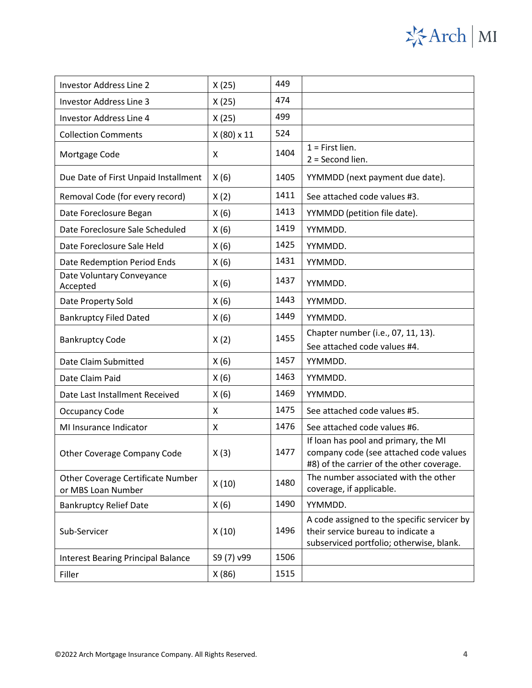# ※Arch | MI

| <b>Investor Address Line 2</b>                          | X(25)             | 449  |                                                                                                                               |
|---------------------------------------------------------|-------------------|------|-------------------------------------------------------------------------------------------------------------------------------|
| <b>Investor Address Line 3</b>                          | X(25)             | 474  |                                                                                                                               |
| <b>Investor Address Line 4</b>                          | X(25)             | 499  |                                                                                                                               |
| <b>Collection Comments</b>                              | $X(80) \times 11$ | 524  |                                                                                                                               |
| Mortgage Code                                           | X                 | 1404 | $1$ = First lien.<br>$2 = Second$ lien.                                                                                       |
| Due Date of First Unpaid Installment                    | X(6)              | 1405 | YYMMDD (next payment due date).                                                                                               |
| Removal Code (for every record)                         | X(2)              | 1411 | See attached code values #3.                                                                                                  |
| Date Foreclosure Began                                  | X(6)              | 1413 | YYMMDD (petition file date).                                                                                                  |
| Date Foreclosure Sale Scheduled                         | X(6)              | 1419 | YYMMDD.                                                                                                                       |
| Date Foreclosure Sale Held                              | X(6)              | 1425 | YYMMDD.                                                                                                                       |
| Date Redemption Period Ends                             | X(6)              | 1431 | YYMMDD.                                                                                                                       |
| Date Voluntary Conveyance<br>Accepted                   | X(6)              | 1437 | YYMMDD.                                                                                                                       |
| Date Property Sold                                      | X(6)              | 1443 | YYMMDD.                                                                                                                       |
| <b>Bankruptcy Filed Dated</b>                           | X(6)              | 1449 | YYMMDD.                                                                                                                       |
| <b>Bankruptcy Code</b>                                  | X(2)              | 1455 | Chapter number (i.e., 07, 11, 13).<br>See attached code values #4.                                                            |
| Date Claim Submitted                                    | X(6)              | 1457 | YYMMDD.                                                                                                                       |
| Date Claim Paid                                         | X(6)              | 1463 | YYMMDD.                                                                                                                       |
| Date Last Installment Received                          | X(6)              | 1469 | YYMMDD.                                                                                                                       |
| Occupancy Code                                          | X                 | 1475 | See attached code values #5.                                                                                                  |
| MI Insurance Indicator                                  | X                 | 1476 | See attached code values #6.                                                                                                  |
| <b>Other Coverage Company Code</b>                      | X(3)              | 1477 | If loan has pool and primary, the MI<br>company code (see attached code values<br>#8) of the carrier of the other coverage.   |
| Other Coverage Certificate Number<br>or MBS Loan Number | X(10)             | 1480 | The number associated with the other<br>coverage, if applicable.                                                              |
| <b>Bankruptcy Relief Date</b>                           | X(6)              | 1490 | YYMMDD.                                                                                                                       |
| Sub-Servicer                                            | X(10)             | 1496 | A code assigned to the specific servicer by<br>their service bureau to indicate a<br>subserviced portfolio; otherwise, blank. |
| <b>Interest Bearing Principal Balance</b>               | S9 (7) v99        | 1506 |                                                                                                                               |
| Filler                                                  | X(86)             | 1515 |                                                                                                                               |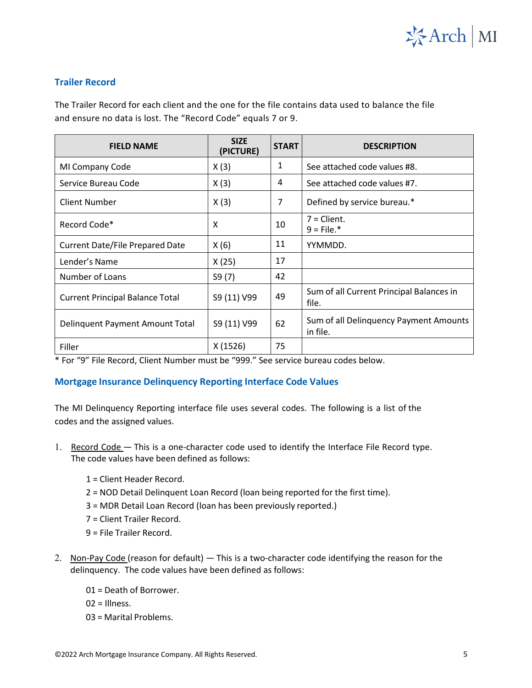

#### **Trailer Record**

The Trailer Record for each client and the one for the file contains data used to balance the file and ensure no data is lost. The "Record Code" equals 7 or 9.

| <b>FIELD NAME</b>                      | <b>SIZE</b><br>(PICTURE) | <b>START</b> | <b>DESCRIPTION</b>                                 |
|----------------------------------------|--------------------------|--------------|----------------------------------------------------|
| MI Company Code                        | X(3)                     | 1            | See attached code values #8.                       |
| Service Bureau Code                    | X(3)                     | 4            | See attached code values #7.                       |
| <b>Client Number</b>                   | X(3)                     | 7            | Defined by service bureau.*                        |
| Record Code*                           | X                        | 10           | $7 = Client.$<br>$9$ = File.*                      |
| <b>Current Date/File Prepared Date</b> | X(6)                     | 11           | YYMMDD.                                            |
| Lender's Name                          | X(25)                    | 17           |                                                    |
| Number of Loans                        | S9(7)                    | 42           |                                                    |
| <b>Current Principal Balance Total</b> | S9 (11) V99              | 49           | Sum of all Current Principal Balances in<br>file.  |
| Delinquent Payment Amount Total        | S9 (11) V99              | 62           | Sum of all Delinguency Payment Amounts<br>in file. |
| Filler                                 | X(1526)                  | 75           |                                                    |

\* For "9" File Record, Client Number must be "999." See service bureau codes below.

#### **Mortgage Insurance Delinquency Reporting Interface Code Values**

The MI Delinquency Reporting interface file uses several codes. The following is a list of the codes and the assigned values.

- 1. Record Code This is a one-character code used to identify the Interface File Record type. The code values have been defined as follows:
	- 1 = Client Header Record.
	- 2 = NOD Detail Delinquent Loan Record (loan being reported for the first time).
	- 3 = MDR Detail Loan Record (loan has been previously reported.)
	- 7 = Client Trailer Record.
	- 9 = File Trailer Record.
- 2. Non-Pay Code (reason for default) This is a two-character code identifying the reason for the delinquency. The code values have been defined as follows:
	- 01 = Death of Borrower.
	- $02$  = Illness.
	- 03 = Marital Problems.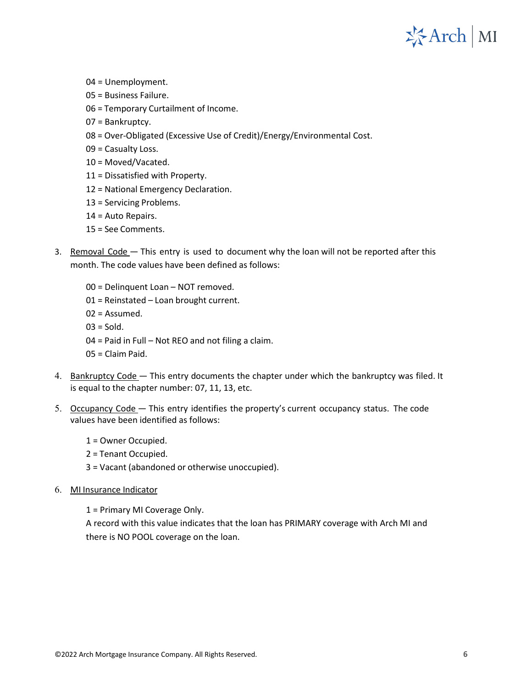

- 04 = Unemployment.
- 05 = Business Failure.
- 06 = Temporary Curtailment of Income.
- 07 = Bankruptcy.
- 08 = Over-Obligated (Excessive Use of Credit)/Energy/Environmental Cost.
- 09 = Casualty Loss.
- 10 = Moved/Vacated.
- 11 = Dissatisfied with Property.
- 12 = National Emergency Declaration.
- 13 = Servicing Problems.
- 14 = Auto Repairs.
- 15 = See Comments.
- 3. Removal Code This entry is used to document why the loan will not be reported after this month. The code values have been defined as follows:
	- 00 = Delinquent Loan NOT removed.
	- 01 = Reinstated Loan brought current.
	- 02 = Assumed.
	- $03 =$  Sold.
	- 04 = Paid in Full Not REO and not filing a claim.
	- 05 = Claim Paid.
- 4. Bankruptcy Code This entry documents the chapter under which the bankruptcy was filed. It is equal to the chapter number: 07, 11, 13, etc.
- 5. Occupancy Code This entry identifies the property's current occupancy status. The code values have been identified as follows:
	- 1 = Owner Occupied.

2 = Tenant Occupied.

- 3 = Vacant (abandoned or otherwise unoccupied).
- 6. MI Insurance Indicator

1 = Primary MI Coverage Only.

A record with this value indicates that the loan has PRIMARY coverage with Arch MI and there is NO POOL coverage on the loan.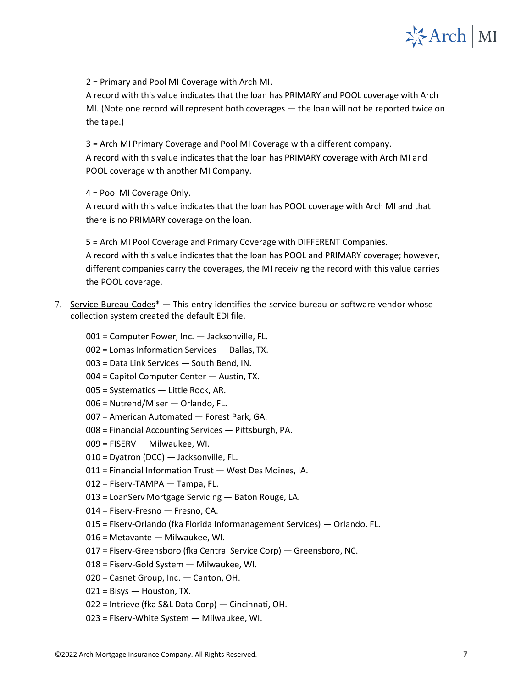

2 = Primary and Pool MI Coverage with Arch MI.

A record with this value indicates that the loan has PRIMARY and POOL coverage with Arch MI. (Note one record will represent both coverages — the loan will not be reported twice on the tape.)

3 = Arch MI Primary Coverage and Pool MI Coverage with a different company. A record with this value indicates that the loan has PRIMARY coverage with Arch MI and POOL coverage with another MI Company.

4 = Pool MI Coverage Only.

A record with this value indicates that the loan has POOL coverage with Arch MI and that there is no PRIMARY coverage on the loan.

5 = Arch MI Pool Coverage and Primary Coverage with DIFFERENT Companies. A record with this value indicates that the loan has POOL and PRIMARY coverage; however, different companies carry the coverages, the MI receiving the record with this value carries the POOL coverage.

7. Service Bureau Codes\* — This entry identifies the service bureau or software vendor whose collection system created the default EDI file.

001 = Computer Power, Inc. — Jacksonville, FL.

- 002 = Lomas Information Services Dallas, TX.
- 003 = Data Link Services South Bend, IN.
- 004 = Capitol Computer Center Austin, TX .
- 005 = Systematics Little Rock, AR.
- 006 = Nutrend/Miser Orlando, FL.
- 007 = American Automated Forest Park, GA.
- 008 = Financial Accounting Services Pittsburgh, PA.
- 009 = FISERV Milwaukee, WI.
- 010 = Dyatron (DCC) Jacksonville, FL.
- 011 = Financial Information Trust West Des Moines, IA .
- 012 = Fiserv-TAMPA Tampa, FL.
- 013 = LoanServ Mortgage Servicing Baton Rouge, LA.
- 014 = Fiserv-Fresno Fresno, CA.
- 015 = Fiserv-Orlando (fka Florida Informanagement Services) Orlando, FL.
- 016 = Metavante Milwaukee, WI.
- 017 = Fiserv-Greensboro (fka Central Service Corp) Greensboro, NC.
- 018 = Fiserv-Gold System Milwaukee, WI.
- 020 = Casnet Group, Inc. Canton, OH.
- 021 = Bisys Houston, TX.
- 022 = Intrieve (fka S&L Data Corp) Cincinnati, OH.
- 023 = Fiserv-White System Milwaukee, WI.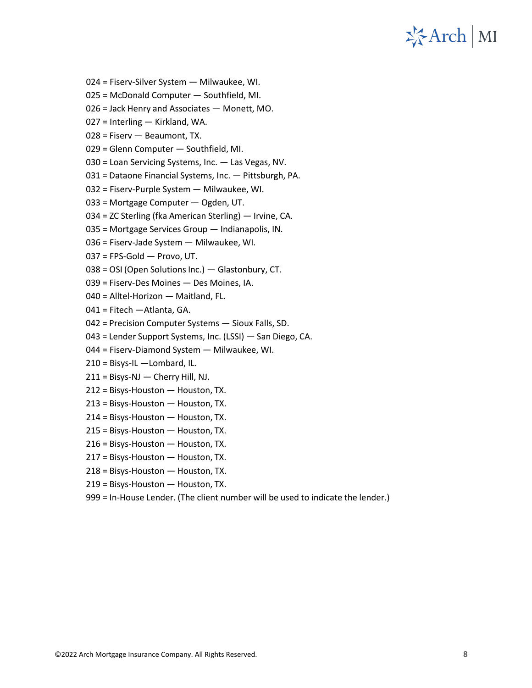

- 024 = Fiserv-Silver System Milwaukee, WI.
- 025 = McDonald Computer Southfield, MI.
- = Jack Henry and Associates Monett, MO.
- = Interling Kirkland, WA.
- = Fiserv Beaumont, TX.
- = Glenn Computer Southfield, MI.
- 030 = Loan Servicing Systems, Inc. Las Vegas, NV.
- = Dataone Financial Systems, Inc. Pittsburgh, PA.
- = Fiserv-Purple System Milwaukee, WI.
- = Mortgage Computer Ogden, UT.
- = ZC Sterling (fka American Sterling) Irvine, CA.
- = Mortgage Services Group Indianapolis, IN.
- = Fiserv-Jade System Milwaukee, WI.
- = FPS-Gold Provo, UT.
- = OSI (Open Solutions Inc.) Glastonbury, CT.
- = Fiserv-Des Moines Des Moines, IA.
- = Alltel-Horizon Maitland, FL.
- = Fitech —Atlanta, GA.
- = Precision Computer Systems Sioux Falls, SD.
- = Lender Support Systems, Inc. (LSSI) San Diego, CA.
- = Fiserv-Diamond System Milwaukee, WI.
- 210 = Bisys-IL —Lombard, IL.
- = Bisys-NJ Cherry Hill, NJ.
- = Bisys-Houston Houston, TX.
- = Bisys-Houston Houston, TX.
- = Bisys-Houston Houston, TX.
- = Bisys-Houston Houston, TX.
- = Bisys-Houston Houston, TX.
- = Bisys-Houston Houston, TX.
- = Bisys-Houston Houston, TX.
- = Bisys-Houston Houston, TX.
- 999 = In-House Lender. (The client number will be used to indicate the lender.)